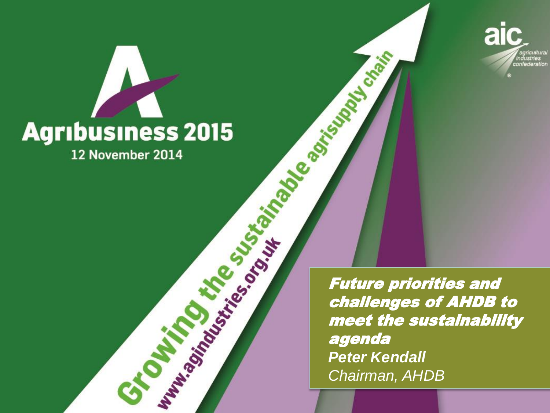

## **Agribusiness 2015** 12 November 2014

Grand Wirington Construction

Future priorities and challenges of AHDB to meet the sustainability agenda *Peter Kendall Chairman, AHDB* 

Girls de Company de la Company de la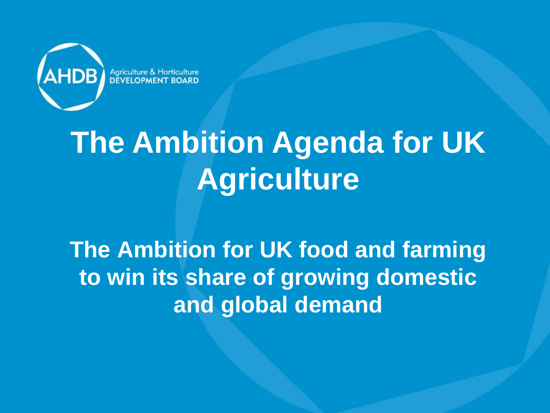

# **The Ambition Agenda for UK Agriculture**

#### **The Ambition for UK food and farming to win its share of growing domestic and global demand**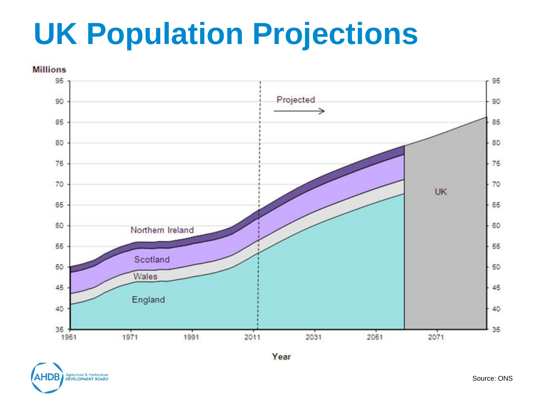## **UK Population Projections**



Agriculture & Horticulture<br>DEVELOPMENT BOARD

Source: ONS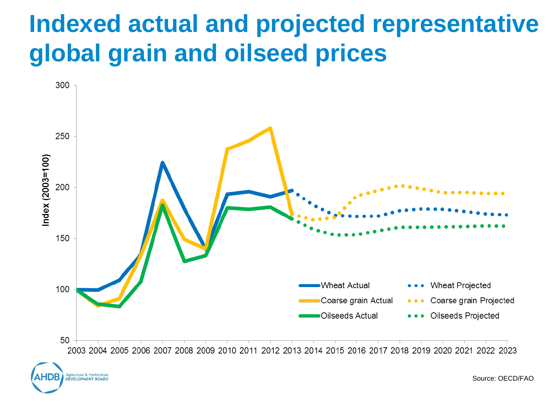#### **Indexed actual and projected representative global grain and oilseed prices**





Source: OECD/FAO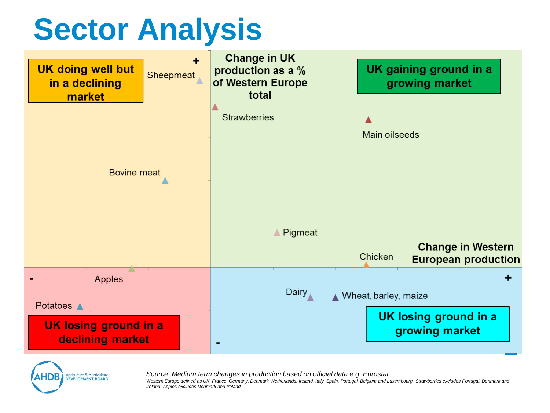## **Sector Analysis**





*Source: Medium term changes in production based on official data e.g. Eurostat Western Europe defined as UK, France, Germany, Denmark, Netherlands, Ireland, Italy, Spain, Portugal, Belgium and Luxembourg. Strawberries excludes Portugal, Denmark and Ireland. Apples excludes Denmark and Ireland*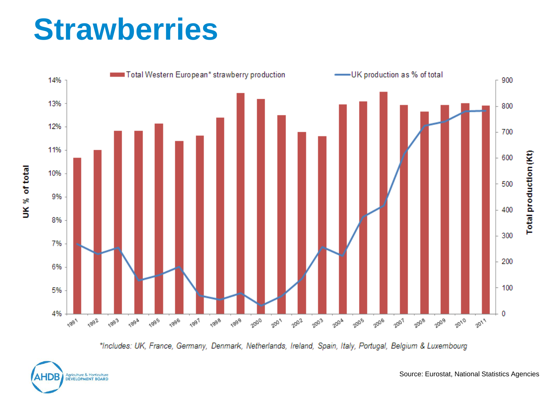### **Strawberries**



\*Includes: UK, France, Germany, Denmark, Netherlands, Ireland, Spain, Italy, Portugal, Belgium & Luxembourg



Source: Eurostat, National Statistics Agencies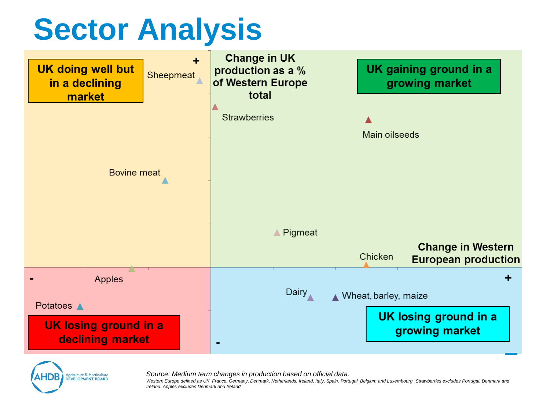## **Sector Analysis**





*Source: Medium term changes in production based on official data.*

*Western Europe defined as UK, France, Germany, Denmark, Netherlands, Ireland, Italy, Spain, Portugal, Belgium and Luxembourg. Strawberries excludes Portugal, Denmark and Ireland. Apples excludes Denmark and Ireland*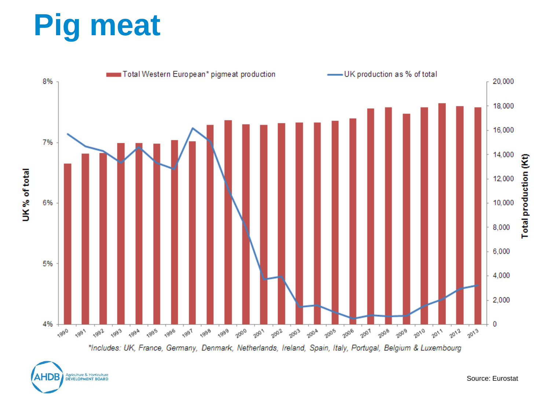# **Pig meat**



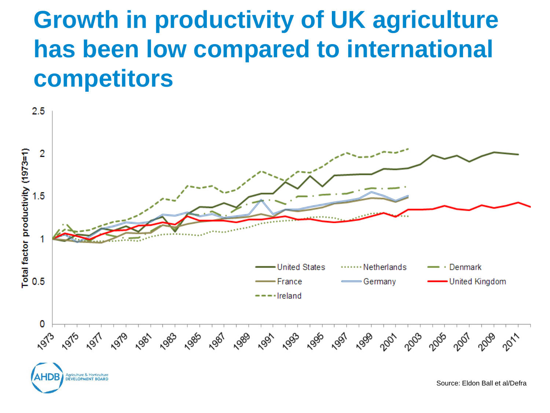#### **Growth in productivity of UK agriculture has been low compared to international competitors**

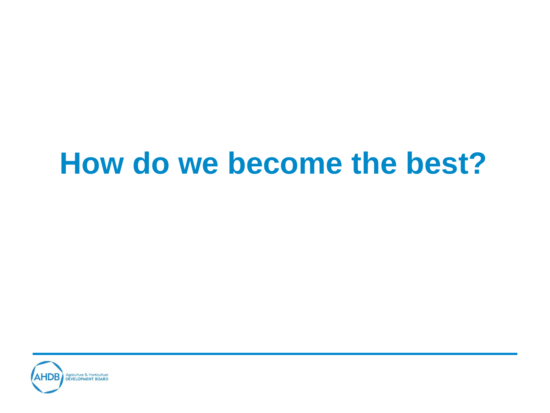#### **How do we become the best?**

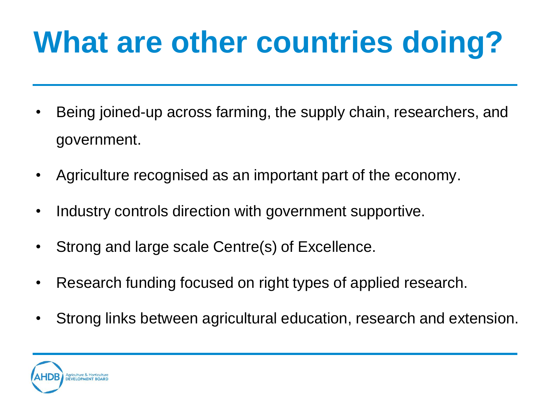# **What are other countries doing?**

- Being joined-up across farming, the supply chain, researchers, and government.
- Agriculture recognised as an important part of the economy.
- Industry controls direction with government supportive.
- Strong and large scale Centre(s) of Excellence.
- Research funding focused on right types of applied research.
- Strong links between agricultural education, research and extension.

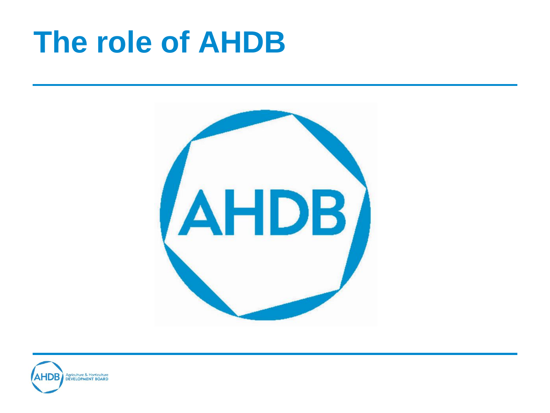## **The role of AHDB**